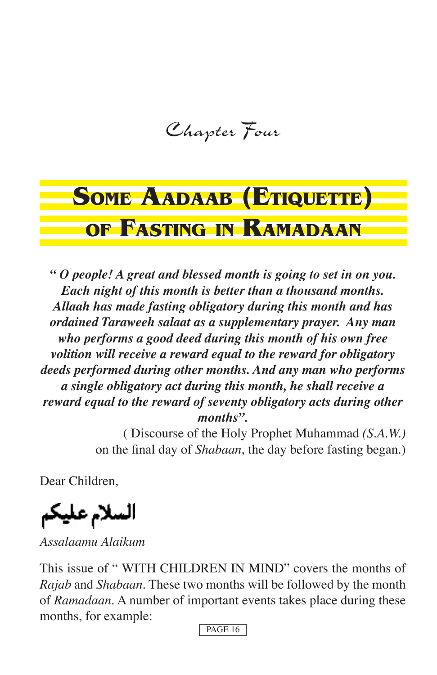Chapter Four

# **SOME AADAAB (ETIQUETTE) OF FASTING IN RAMADAAN**

*" O people! A great and blessed month is going to set in on you. Each night of this month is better than a thousand months. Allaah has made fasting obligatory during this month and has ordained Taraweeh salaat as a supplementary prayer. Any man who performs a good deed during this month of his own free volition will receive a reward equal to the reward for obligatory deeds performed during other months. And any man who performs a single obligatory act during this month, he shall receive a reward equal to the reward of seventy obligatory acts during other months".* 

> ( Discourse of the Holy Prophet Muhammad *(S.A.W.)* on the final day of *Shabaan*, the day before fasting began.)

Dear Children,

السلام عليكم

*Assalaamu Alaikum*

This issue of " WITH CHILDREN IN MIND" covers the months of *Rajab* and *Shabaan*. These two months will be followed by the month of *Ramadaan*. A number of important events takes place during these months, for example: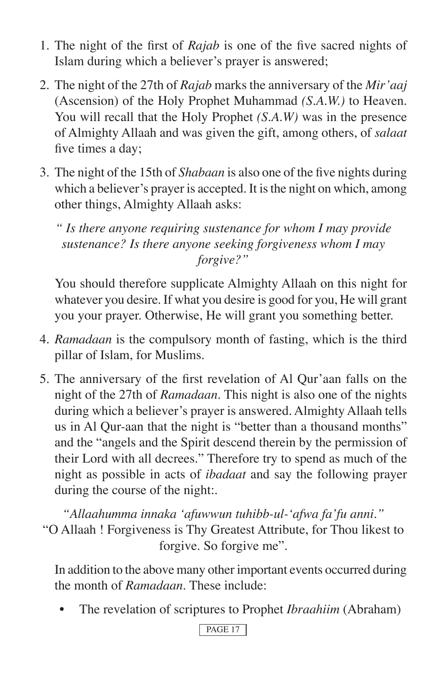- 1. The night of the first of *Rajab* is one of the five sacred nights of Islam during which a believer's prayer is answered;
- 2. The night of the 27th of *Rajab* marks the anniversary of the *Mir'aaj* (Ascension) of the Holy Prophet Muhammad *(S.A.W.)* to Heaven. You will recall that the Holy Prophet *(S.A.W)* was in the presence of Almighty Allaah and was given the gift, among others, of *salaat* five times a day;
- 3. The night of the 15th of *Shabaan* is also one of the five nights during which a believer's prayer is accepted. It is the night on which, among other things, Almighty Allaah asks:

*" Is there anyone requiring sustenance for whom I may provide sustenance? Is there anyone seeking forgiveness whom I may forgive?"*

 You should therefore supplicate Almighty Allaah on this night for whatever you desire. If what you desire is good for you, He will grant you your prayer. Otherwise, He will grant you something better.

- 4. *Ramadaan* is the compulsory month of fasting, which is the third pillar of Islam, for Muslims.
- 5. The anniversary of the first revelation of Al Qur'aan falls on the night of the 27th of *Ramadaan*. This night is also one of the nights during which a believer's prayer is answered. Almighty Allaah tells us in Al Qur-aan that the night is "better than a thousand months" and the "angels and the Spirit descend therein by the permission of their Lord with all decrees." Therefore try to spend as much of the night as possible in acts of *ibadaat* and say the following prayer during the course of the night:.

*"Allaahumma innaka ʻafuwwun tuhibb-ul-ʻafwa fa'fu anni."* "O Allaah ! Forgiveness is Thy Greatest Attribute, for Thou likest to forgive. So forgive me".

 In addition to the above many other important events occurred during the month of *Ramadaan*. These include:

• The revelation of scriptures to Prophet *Ibraahiim* (Abraham)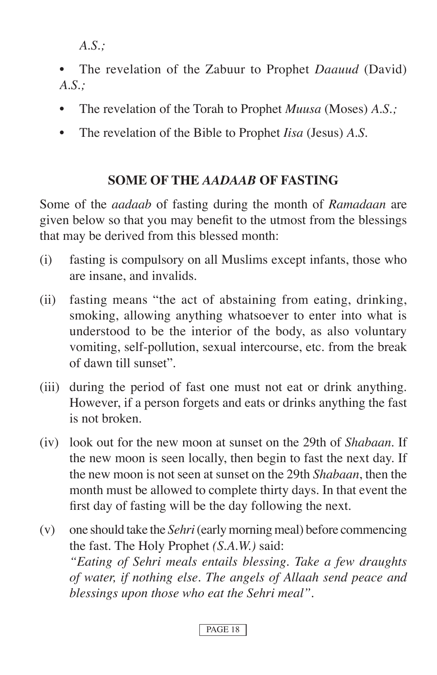*A.S.;*

- The revelation of the Zabuur to Prophet *Daauud* (David) *A.S.;*
- The revelation of the Torah to Prophet *Muusa* (Moses) *A.S.;*
- The revelation of the Bible to Prophet *Iisa* (Jesus) *A.S.*

# **SOME OF THE** *AADAAB* **OF FASTING**

Some of the *aadaab* of fasting during the month of *Ramadaan* are given below so that you may benefit to the utmost from the blessings that may be derived from this blessed month:

- (i) fasting is compulsory on all Muslims except infants, those who are insane, and invalids.
- (ii) fasting means "the act of abstaining from eating, drinking, smoking, allowing anything whatsoever to enter into what is understood to be the interior of the body, as also voluntary vomiting, self-pollution, sexual intercourse, etc. from the break of dawn till sunset".
- (iii) during the period of fast one must not eat or drink anything. However, if a person forgets and eats or drinks anything the fast is not broken.
- (iv) look out for the new moon at sunset on the 29th of *Shabaan*. If the new moon is seen locally, then begin to fast the next day. If the new moon is not seen at sunset on the 29th *Shabaan*, then the month must be allowed to complete thirty days. In that event the first day of fasting will be the day following the next.
- (v) one should take the *Sehri* (early morning meal) before commencing the fast. The Holy Prophet *(S.A.W.)* said:  *"Eating of Sehri meals entails blessing. Take a few draughts of water, if nothing else. The angels of Allaah send peace and blessings upon those who eat the Sehri meal".*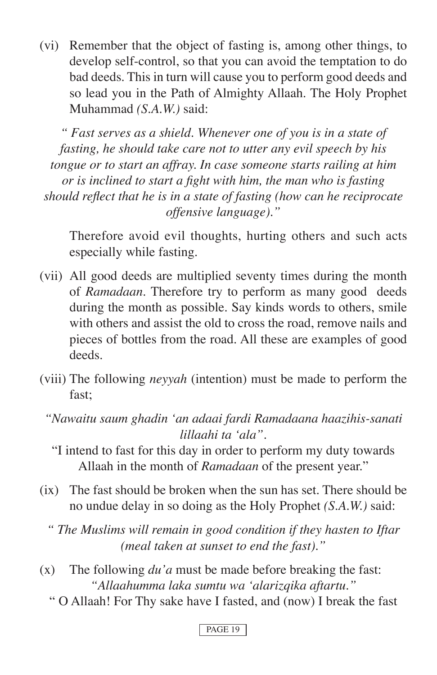(vi) Remember that the object of fasting is, among other things, to develop self-control, so that you can avoid the temptation to do bad deeds. This in turn will cause you to perform good deeds and so lead you in the Path of Almighty Allaah. The Holy Prophet Muhammad *(S.A.W.)* said:

*" Fast serves as a shield. Whenever one of you is in a state of fasting, he should take care not to utter any evil speech by his tongue or to start an affray. In case someone starts railing at him or is inclined to start a fight with him, the man who is fasting should reflect that he is in a state of fasting (how can he reciprocate offensive language)."* 

 Therefore avoid evil thoughts, hurting others and such acts especially while fasting.

- (vii) All good deeds are multiplied seventy times during the month of *Ramadaan*. Therefore try to perform as many good deeds during the month as possible. Say kinds words to others, smile with others and assist the old to cross the road, remove nails and pieces of bottles from the road. All these are examples of good deeds.
- (viii) The following *neyyah* (intention) must be made to perform the fast;
	- *"Nawaitu saum ghadin ʻan adaai fardi Ramadaana haazihis-sanati lillaahi ta ʻala".* 
		- "I intend to fast for this day in order to perform my duty towards Allaah in the month of *Ramadaan* of the present year."
- (ix) The fast should be broken when the sun has set. There should be no undue delay in so doing as the Holy Prophet *(S.A.W.)* said:
	- *" The Muslims will remain in good condition if they hasten to Iftar (meal taken at sunset to end the fast)."*
- (x) The following *du'a* must be made before breaking the fast: *"Allaahumma laka sumtu wa ʻalarizqika aftartu."*
	- " O Allaah! For Thy sake have I fasted, and (now) I break the fast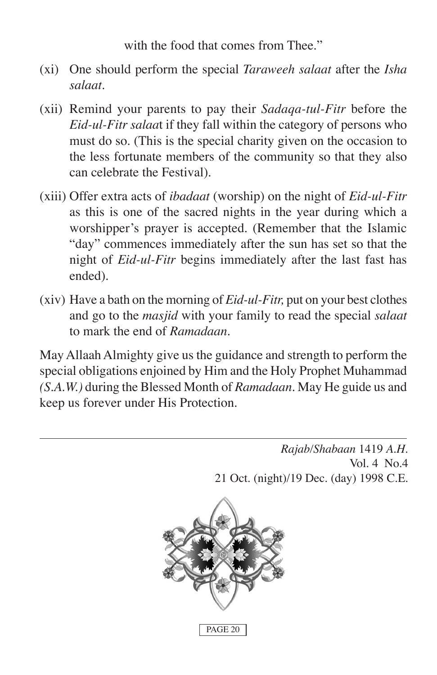with the food that comes from Thee."

- (xi) One should perform the special *Taraweeh salaat* after the *Isha salaat.*
- (xii) Remind your parents to pay their *Sadaqa-tul-Fitr* before the *Eid-ul-Fitr salaa*t if they fall within the category of persons who must do so. (This is the special charity given on the occasion to the less fortunate members of the community so that they also can celebrate the Festival).
- (xiii) Offer extra acts of *ibadaat* (worship) on the night of *Eid-ul-Fitr* as this is one of the sacred nights in the year during which a worshipper's prayer is accepted. (Remember that the Islamic "day" commences immediately after the sun has set so that the night of *Eid-ul-Fitr* begins immediately after the last fast has ended).
- (xiv) Have a bath on the morning of *Eid-ul-Fitr,* put on your best clothes and go to the *masjid* with your family to read the special *salaat* to mark the end of *Ramadaan.*

May Allaah Almighty give us the guidance and strength to perform the special obligations enjoined by Him and the Holy Prophet Muhammad *(S.A.W.)* during the Blessed Month of *Ramadaan*. May He guide us and keep us forever under His Protection.

> *Rajab/Shabaan* 1419 *A.H.* Vol. 4 No.4 21 Oct. (night)/19 Dec. (day) 1998 C.E.

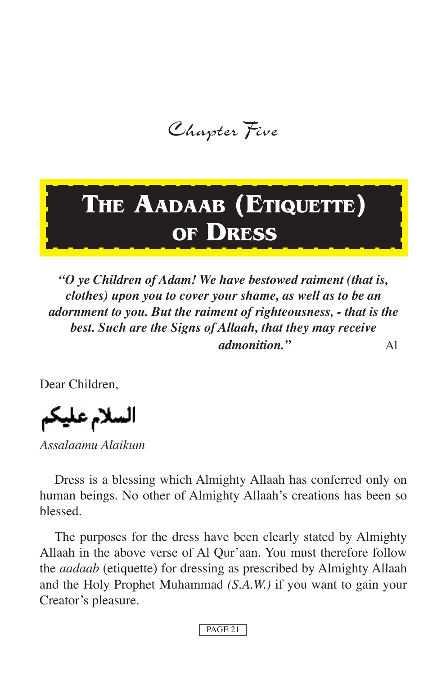Chapter Five

# **THE AADAAB (ETIQUETTE) OF DRESS**

*"O ye Children of Adam! We have bestowed raiment (that is, clothes) upon you to cover your shame, as well as to be an adornment to you. But the raiment of righteousness, - that is the best. Such are the Signs of Allaah, that they may receive admonition."* Al

Dear Children,

السلام عليكم

*Assalaamu Alaikum*

Dress is a blessing which Almighty Allaah has conferred only on human beings. No other of Almighty Allaah's creations has been so blessed.

The purposes for the dress have been clearly stated by Almighty Allaah in the above verse of Al Qur'aan. You must therefore follow the *aadaab* (etiquette) for dressing as prescribed by Almighty Allaah and the Holy Prophet Muhammad *(S.A.W.)* if you want to gain your Creator's pleasure.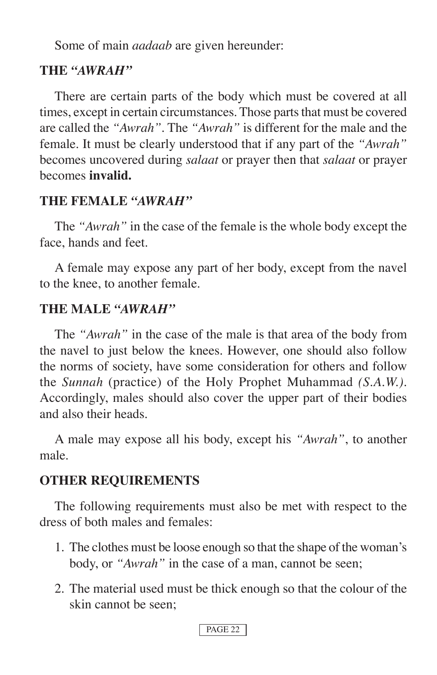Some of main *aadaab* are given hereunder:

## **THE** *"AWRAH''*

There are certain parts of the body which must be covered at all times, except in certain circumstances. Those parts that must be covered are called the *"Awrah".* The *"Awrah"* is different for the male and the female. It must be clearly understood that if any part of the *"Awrah"*  becomes uncovered during *salaat* or prayer then that *salaat* or prayer becomes **invalid.**

## **THE FEMALE** *"AWRAH''*

The *"Awrah"* in the case of the female is the whole body except the face, hands and feet.

A female may expose any part of her body, except from the navel to the knee, to another female.

## **THE MALE** *"AWRAH''*

The *"Awrah"* in the case of the male is that area of the body from the navel to just below the knees. However, one should also follow the norms of society, have some consideration for others and follow the *Sunnah* (practice) of the Holy Prophet Muhammad *(S.A.W.).* Accordingly, males should also cover the upper part of their bodies and also their heads.

A male may expose all his body, except his *"Awrah"*, to another male.

## **OTHER REQUIREMENTS**

The following requirements must also be met with respect to the dress of both males and females:

- 1. The clothes must be loose enough so that the shape of the woman's body, or *"Awrah"* in the case of a man, cannot be seen;
- 2. The material used must be thick enough so that the colour of the skin cannot be seen;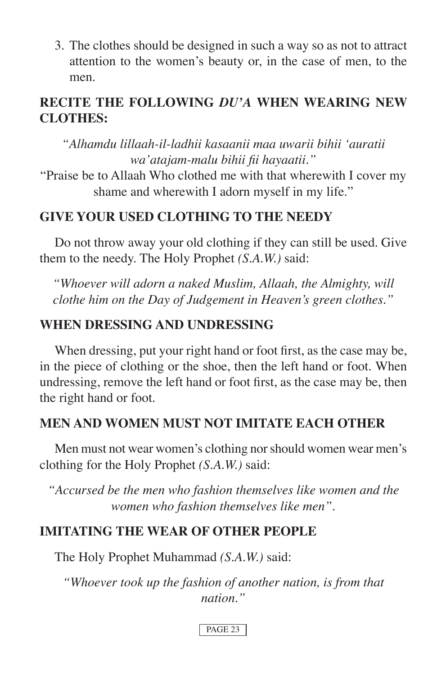3. The clothes should be designed in such a way so as not to attract attention to the women's beauty or, in the case of men, to the men.

## **RECITE THE FOLLOWING** *DU'A* **WHEN WEARING NEW CLOTHES:**

*"Alhamdu lillaah-il-ladhii kasaanii maa uwarii bihii ʻauratii wa'atajam-malu bihii fii hayaatii."*

"Praise be to Allaah Who clothed me with that wherewith I cover my shame and wherewith I adorn myself in my life."

### **GIVE YOUR USED CLOTHING TO THE NEEDY**

Do not throw away your old clothing if they can still be used. Give them to the needy. The Holy Prophet *(S.A.W.)* said:

*"Whoever will adorn a naked Muslim, Allaah, the Almighty, will clothe him on the Day of Judgement in Heaven's green clothes."*

## **WHEN DRESSING AND UNDRESSING**

When dressing, put your right hand or foot first, as the case may be, in the piece of clothing or the shoe, then the left hand or foot. When undressing, remove the left hand or foot first, as the case may be, then the right hand or foot.

### **MEN AND WOMEN MUST NOT IMITATE EACH OTHER**

Men must not wear women's clothing nor should women wear men's clothing for the Holy Prophet *(S.A.W.)* said:

*"Accursed be the men who fashion themselves like women and the women who fashion themselves like men".*

## **IMITATING THE WEAR OF OTHER PEOPLE**

The Holy Prophet Muhammad *(S.A.W.)* said:

*"Whoever took up the fashion of another nation, is from that nation."*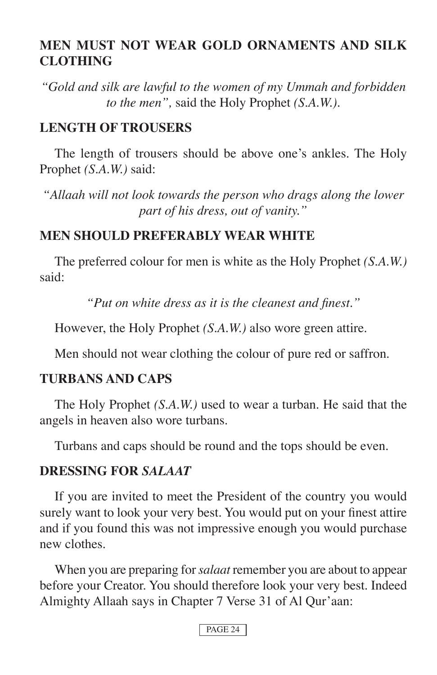## **MEN MUST NOT WEAR GOLD ORNAMENTS AND SILK CLOTHING**

*"Gold and silk are lawful to the women of my Ummah and forbidden to the men",* said the Holy Prophet *(S.A.W.).*

#### **LENGTH OF TROUSERS**

The length of trousers should be above one's ankles. The Holy Prophet *(S.A.W.)* said:

*"Allaah will not look towards the person who drags along the lower part of his dress, out of vanity."*

#### **MEN SHOULD PREFERABLY WEAR WHITE**

The preferred colour for men is white as the Holy Prophet *(S.A.W.)*  said:

*"Put on white dress as it is the cleanest and finest."*

However, the Holy Prophet *(S.A.W.)* also wore green attire.

Men should not wear clothing the colour of pure red or saffron.

#### **TURBANS AND CAPS**

The Holy Prophet *(S.A.W.)* used to wear a turban. He said that the angels in heaven also wore turbans.

Turbans and caps should be round and the tops should be even.

#### **DRESSING FOR** *SALAAT*

If you are invited to meet the President of the country you would surely want to look your very best. You would put on your finest attire and if you found this was not impressive enough you would purchase new clothes.

When you are preparing for *salaat* remember you are about to appear before your Creator. You should therefore look your very best. Indeed Almighty Allaah says in Chapter 7 Verse 31 of Al Qur'aan: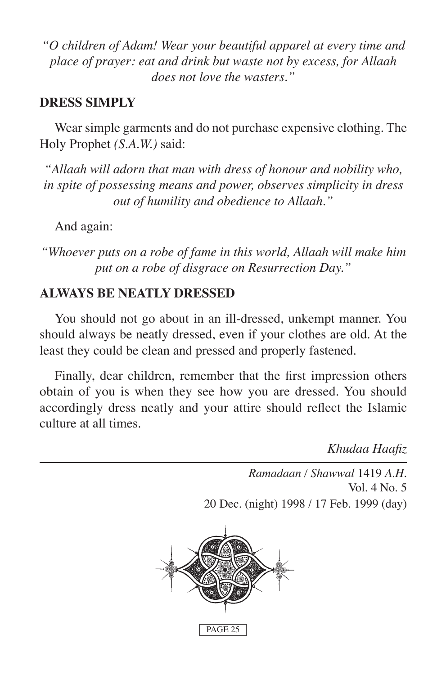*"O children of Adam! Wear your beautiful apparel at every time and place of prayer: eat and drink but waste not by excess, for Allaah does not love the wasters."*

#### **DRESS SIMPLY**

Wear simple garments and do not purchase expensive clothing. The Holy Prophet *(S.A.W.)* said:

*"Allaah will adorn that man with dress of honour and nobility who, in spite of possessing means and power, observes simplicity in dress out of humility and obedience to Allaah."*

And again:

*"Whoever puts on a robe of fame in this world, Allaah will make him put on a robe of disgrace on Resurrection Day."*

#### **ALWAYS BE NEATLY DRESSED**

You should not go about in an ill-dressed, unkempt manner. You should always be neatly dressed, even if your clothes are old. At the least they could be clean and pressed and properly fastened.

Finally, dear children, remember that the first impression others obtain of you is when they see how you are dressed. You should accordingly dress neatly and your attire should reflect the Islamic culture at all times.

*Khudaa Haafiz*

*Ramadaan / Shawwal* 1419 *A.H.* Vol. 4 No. 5 20 Dec. (night) 1998 / 17 Feb. 1999 (day)

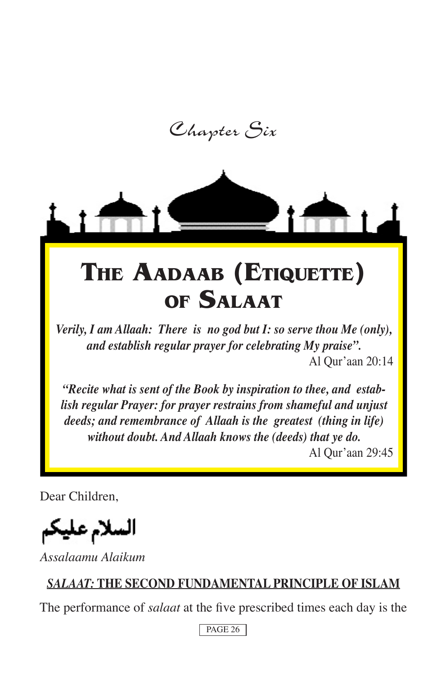Chapter Six



*Verily, I am Allaah: There is no god but I: so serve thou Me (only), and establish regular prayer for celebrating My praise".* Al Qur'aan 20:14

*"Recite what is sent of the Book by inspiration to thee, and establish regular Prayer: for prayer restrains from shameful and unjust deeds; and remembrance of Allaah is the greatest (thing in life) without doubt. And Allaah knows the (deeds) that ye do.*

Al Qur'aan 29:45

Dear Children,

السلام عليكم

*Assalaamu Alaikum*

# *SALAAT:* **THE SECOND FUNDAMENTAL PRINCIPLE OF ISLAM**

The performance of *salaat* at the five prescribed times each day is the

```
PAGE 26
```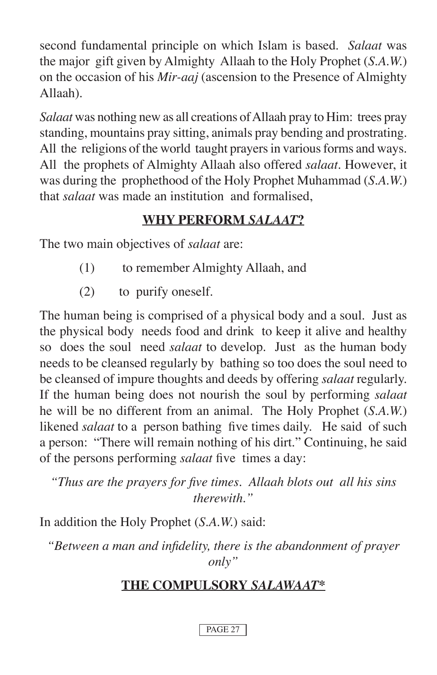second fundamental principle on which Islam is based. *Salaat* was the major gift given by Almighty Allaah to the Holy Prophet (*S.A.W.*) on the occasion of his *Mir-aaj* (ascension to the Presence of Almighty Allaah).

*Salaat* was nothing new as all creations of Allaah pray to Him: trees pray standing, mountains pray sitting, animals pray bending and prostrating. All the religions of the world taught prayers in various forms and ways. All the prophets of Almighty Allaah also offered *salaat.* However, it was during the prophethood of the Holy Prophet Muhammad (*S.A.W.*) that *salaat* was made an institution and formalised,

# **WHY PERFORM** *SALAAT***?**

The two main objectives of *salaat* are:

- (1) to remember Almighty Allaah, and
- (2) to purify oneself.

The human being is comprised of a physical body and a soul. Just as the physical body needs food and drink to keep it alive and healthy so does the soul need *salaat* to develop. Just as the human body needs to be cleansed regularly by bathing so too does the soul need to be cleansed of impure thoughts and deeds by offering *salaat* regularly. If the human being does not nourish the soul by performing *salaat* he will be no different from an animal. The Holy Prophet (*S.A.W.*) likened *salaat* to a person bathing five times daily. He said of such a person: "There will remain nothing of his dirt." Continuing, he said of the persons performing *salaat* five times a day:

*"Thus are the prayers for five times. Allaah blots out all his sins therewith."*

In addition the Holy Prophet (*S.A.W.*) said:

*"Between a man and infidelity, there is the abandonment of prayer only"*

# **THE COMPULSORY** *SALAWAAT***\***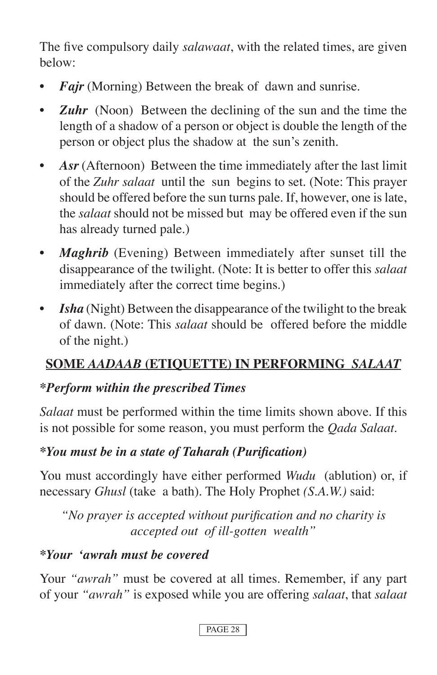The five compulsory daily *salawaat*, with the related times, are given below:

- **Fajr** (Morning) Between the break of dawn and sunrise.
- *Zuhr* (Noon) Between the declining of the sun and the time the length of a shadow of a person or object is double the length of the person or object plus the shadow at the sun's zenith.
- Asr (Afternoon) Between the time immediately after the last limit of the *Zuhr salaat* until the sun begins to set. (Note: This prayer should be offered before the sun turns pale. If, however, one is late, the *salaat* should not be missed but may be offered even if the sun has already turned pale.)
- *Maghrib* (Evening) Between immediately after sunset till the disappearance of the twilight. (Note: It is better to offer this *salaat* immediately after the correct time begins.)
- *Isha* (Night) Between the disappearance of the twilight to the break of dawn. (Note: This *salaat* should be offered before the middle of the night.)

# **SOME** *AADAAB* **(ETIQUETTE) IN PERFORMING** *SALAAT*

# *\*Perform within the prescribed Times*

*Salaat* must be performed within the time limits shown above. If this is not possible for some reason, you must perform the *Qada Salaat*.

# *\*You must be in a state of Taharah (Purification)*

You must accordingly have either performed *Wudu* (ablution) or, if necessary *Ghusl* (take a bath). The Holy Prophet *(S.A.W.)* said:

*"No prayer is accepted without purification and no charity is accepted out of ill-gotten wealth"* 

## *\*Your ʻawrah must be covered*

Your *"awrah"* must be covered at all times. Remember, if any part of your *"awrah"* is exposed while you are offering *salaat*, that *salaat*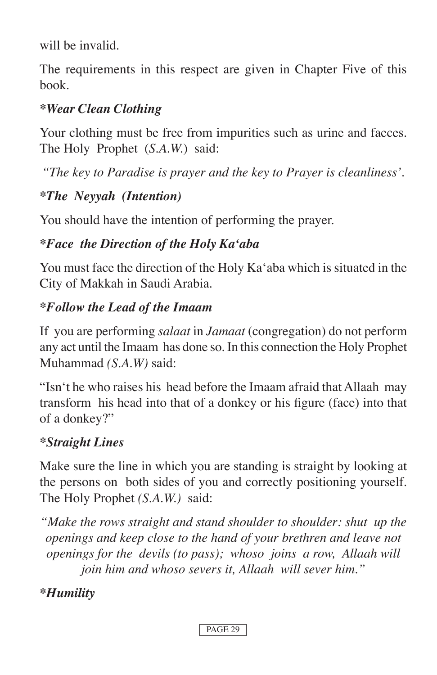will be invalid.

The requirements in this respect are given in Chapter Five of this book.

## *\*Wear Clean Clothing*

Your clothing must be free from impurities such as urine and faeces. The Holy Prophet (*S.A.W.*) said:

*"The key to Paradise is prayer and the key to Prayer is cleanliness'.*

# *\*The Neyyah (Intention)*

You should have the intention of performing the prayer.

# *\*Face the Direction of the Holy Kaʻaba*

You must face the direction of the Holy Kaʻaba which is situated in the City of Makkah in Saudi Arabia.

# *\*Follow the Lead of the Imaam*

If you are performing *salaat* in *Jamaat* (congregation) do not perform any act until the Imaam has done so. In this connection the Holy Prophet Muhammad *(S.A.W)* said:

"Isnʻt he who raises his head before the Imaam afraid that Allaah may transform his head into that of a donkey or his figure (face) into that of a donkey?"

# *\*Straight Lines*

Make sure the line in which you are standing is straight by looking at the persons on both sides of you and correctly positioning yourself. The Holy Prophet *(S.A.W.)* said:

*"Make the rows straight and stand shoulder to shoulder: shut up the openings and keep close to the hand of your brethren and leave not openings for the devils (to pass); whoso joins a row, Allaah will join him and whoso severs it, Allaah will sever him."*

# *\*Humility*